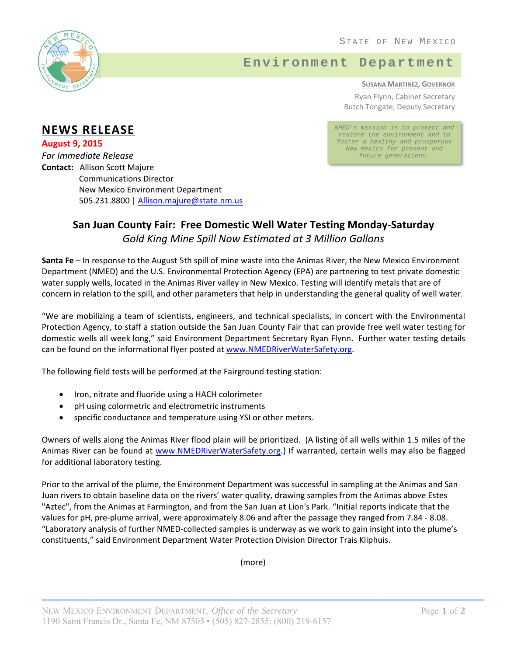

## Environment Department

**SUSANA MARTINEZ, GOVERNOR** Ryan Flynn, Cabinet Secretary **Butch Tongate, Deputy Secretary** 

NMED's mission is to protect and restore the environment and to foster a healthy and prosperous New Mexico for present and future generations.

## **NEWS RELEASE**

**August 9, 2015 For Immediate Release Contact: Allison Scott Majure Communications Director New Mexico Environment Department** 505.231.8800 | Allison.majure@state.nm.us

## San Juan County Fair: Free Domestic Well Water Testing Monday-Saturday Gold King Mine Spill Now Estimated at 3 Million Gallons

Santa Fe - In response to the August 5th spill of mine waste into the Animas River, the New Mexico Environment Department (NMED) and the U.S. Environmental Protection Agency (EPA) are partnering to test private domestic water supply wells, located in the Animas River valley in New Mexico. Testing will identify metals that are of concern in relation to the spill, and other parameters that help in understanding the general quality of well water.

"We are mobilizing a team of scientists, engineers, and technical specialists, in concert with the Environmental Protection Agency, to staff a station outside the San Juan County Fair that can provide free well water testing for domestic wells all week long," said Environment Department Secretary Ryan Flynn. Further water testing details can be found on the informational flyer posted at www.NMEDRiverWaterSafety.org.

The following field tests will be performed at the Fairground testing station:

- Iron, nitrate and fluoride using a HACH colorimeter  $\bullet$
- pH using colormetric and electrometric instruments
- specific conductance and temperature using YSI or other meters.

Owners of wells along the Animas River flood plain will be prioritized. (A listing of all wells within 1.5 miles of the Animas River can be found at www.NMEDRiverWaterSafety.org.) If warranted, certain wells may also be flagged for additional laboratory testing.

Prior to the arrival of the plume, the Environment Department was successful in sampling at the Animas and San Juan rivers to obtain baseline data on the rivers' water quality, drawing samples from the Animas above Estes "Aztec", from the Animas at Farmington, and from the San Juan at Lion's Park. "Initial reports indicate that the values for pH, pre-plume arrival, were approximately 8.06 and after the passage they ranged from 7.84 - 8.08. "Laboratory analysis of further NMED-collected samples is underway as we work to gain insight into the plume's constituents," said Environment Department Water Protection Division Director Trais Kliphuis.

(more)